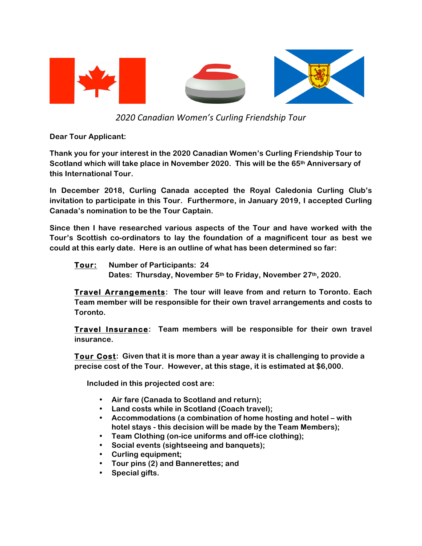

*2020#Canadian#Women's#Curling#Friendship#Tour*

**Dear Tour Applicant:**

**Thank you for your interest in the 2020 Canadian Women's Curling Friendship Tour to Scotland which will take place in November 2020. This will be the 65th Anniversary of this International Tour.** 

**In December 2018, Curling Canada accepted the Royal Caledonia Curling Club's invitation to participate in this Tour. Furthermore, in January 2019, I accepted Curling Canada's nomination to be the Tour Captain.** 

**Since then I have researched various aspects of the Tour and have worked with the Tour's Scottish co-ordinators to lay the foundation of a magnificent tour as best we could at this early date. Here is an outline of what has been determined so far:**

## **Tour: Number of Participants: 24**

 **Dates: Thursday, November 5th to Friday, November 27th, 2020.**

**Travel Arrangements: The tour will leave from and return to Toronto. Each Team member will be responsible for their own travel arrangements and costs to Toronto.**

**Travel Insurance: Team members will be responsible for their own travel insurance.**

**Tour Cost: Given that it is more than a year away it is challenging to provide a precise cost of the Tour. However, at this stage, it is estimated at \$6,000.**

**Included in this projected cost are:**

- **Air fare (Canada to Scotland and return);**
- **Land costs while in Scotland (Coach travel);**
- **Accommodations (a combination of home hosting and hotel – with hotel stays - this decision will be made by the Team Members);**
- **Team Clothing (on-ice uniforms and off-ice clothing);**
- **Social events (sightseeing and banquets);**
- **Curling equipment;**
- **Tour pins (2) and Bannerettes; and**
- **Special gifts.**